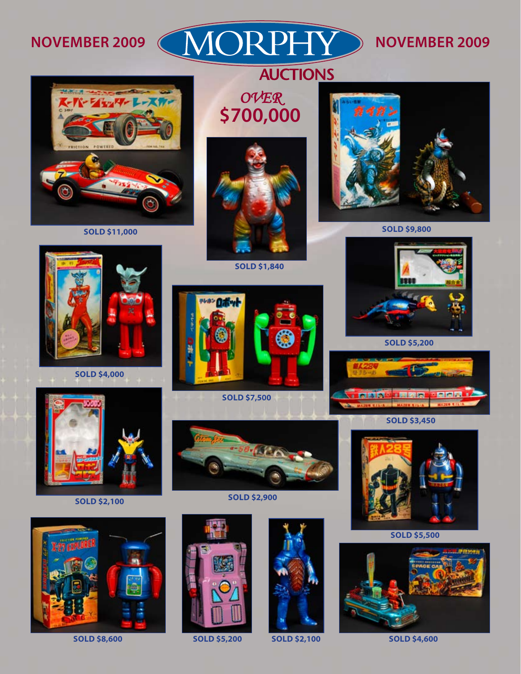NOVEMBER 2009 (MORPHY) NOVEMBER 2009

**AUCTIONS** 



**SOLD \$11,000**

*Over* **\$700,000**





**SOLD \$9,800**



**SOLD \$4,000**

**SOLD \$1,840**



**SOLD \$7,500**



**SOLD \$5,200**





**SOLD \$2,100**



**SOLD \$2,900**







**SOLD \$8,600 SOLD \$5,200 SOLD \$2,100 SOLD \$4,600**



**SOLD \$5,500**

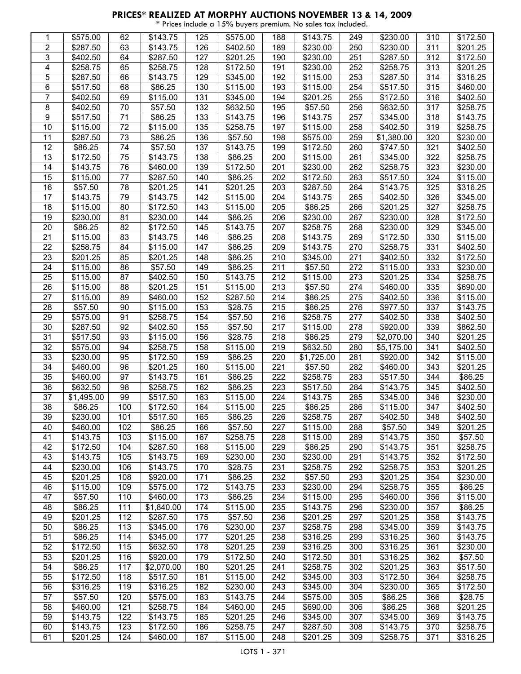| 1               | \$575.00             | 62              | \$143.75             | 125        | \$575.00             | 188        | \$143.75             | 249        | \$230.00             | 310        | \$172.50             |
|-----------------|----------------------|-----------------|----------------------|------------|----------------------|------------|----------------------|------------|----------------------|------------|----------------------|
|                 |                      |                 |                      |            |                      |            |                      |            |                      |            |                      |
| $\overline{2}$  | \$287.50             | 63              | \$143.75             | 126        | \$402.50             | 189        | \$230.00             | 250        | \$230.00             | 311        | \$201.25             |
| 3               | \$402.50             | 64              | \$287.50             | 127        | \$201.25             | 190        | \$230.00             | 251        | \$287.50             | 312        | \$172.50             |
| 4               | \$258.75             | 65              | \$258.75             | 128        | \$172.50             | 191        | \$230.00             | 252        | \$258.75             | 313        | \$201.25             |
| 5               | \$287.50             | 66              | \$143.75             | 129        | \$345.00             | 192        | \$115.00             | 253        | \$287.50             | 314        | \$316.25             |
| $\,6$           | \$517.50             | 68              | \$86.25              | 130        | \$115.00             | 193        | \$115.00             | 254        | \$517.50             | 315        | \$460.00             |
| $\overline{7}$  | \$402.50             | 69              | \$115.00             | 131        | \$345.00             | 194        | \$201.25             | 255        | \$172.50             | 316        | \$402.50             |
|                 |                      | 70              |                      |            |                      |            |                      |            |                      |            |                      |
| 8               | \$402.50             |                 | \$57.50              | 132        | \$632.50             | 195        | \$57.50              | 256        | \$632.50             | 317        | \$258.75             |
| 9               | \$517.50             | 71              | \$86.25              | 133        | \$143.75             | 196        | \$143.75             | 257        | \$345.00             | 318        | \$143.75             |
| $\overline{10}$ | \$115.00             | $\overline{72}$ | \$115.00             | 135        | \$258.75             | 197        | \$115.00             | 258        | \$402.50             | 319        | \$258.75             |
| 11              | \$287.50             | 73              | \$86.25              | 136        | \$57.50              | 198        | \$575.00             | 259        | \$1,380.00           | 320        | \$230.00             |
| 12              | \$86.25              | 74              | \$57.50              | 137        | \$143.75             | 199        | \$172.50             | 260        | \$747.50             | 321        | \$402.50             |
| 13              | \$172.50             | 75              | \$143.75             | 138        | \$86.25              | 200        | \$115.00             | 261        | \$345.00             | 322        | \$258.75             |
| 14              | \$143.75             | 76              | \$460.00             | 139        | \$172.50             | 201        | \$230.00             | 262        | \$258.75             | 323        | \$230.00             |
|                 |                      |                 |                      |            |                      |            |                      |            |                      |            |                      |
| 15              | \$115.00             | 77              | \$287.50             | 140        | \$86.25              | 202        | \$172.50             | 263        | \$517.50             | 324        | \$115.00             |
| 16              | \$57.50              | 78              | \$201.25             | 141        | \$201.25             | 203        | \$287.50             | 264        | \$143.75             | 325        | \$316.25             |
| 17              | \$143.75             | 79              | \$143.75             | 142        | \$115.00             | 204        | \$143.75             | 265        | \$402.50             | 326        | \$345.00             |
| 18              | \$115.00             | 80              | \$172.50             | 143        | \$115.00             | 205        | \$86.25              | 266        | \$201.25             | 327        | \$258.75             |
| 19              | \$230.00             | 81              | \$230.00             | 144        | \$86.25              | 206        | \$230.00             | 267        | \$230.00             | 328        | \$172.50             |
| 20              | \$86.25              | 82              | \$172.50             | 145        | \$143.75             | 207        | \$258.75             | 268        | \$230.00             | 329        | \$345.00             |
|                 |                      |                 |                      |            |                      |            |                      |            |                      |            |                      |
| 21              | \$115.00             | 83              | \$143.75             | 146        | \$86.25              | 208        | \$143.75             | 269        | \$172.50             | 330        | \$115.00             |
| 22              | \$258.75             | 84              | \$115.00             | 147        | \$86.25              | 209        | \$143.75             | 270        | \$258.75             | 331        | \$402.50             |
| 23              | \$201.25             | 85              | \$201.25             | 148        | \$86.25              | 210        | \$345.00             | 271        | \$402.50             | 332        | \$172.50             |
| 24              | \$115.00             | 86              | \$57.50              | 149        | \$86.25              | 211        | \$57.50              | 272        | \$115.00             | 333        | \$230.00             |
| 25              | \$115.00             | 87              | \$402.50             | 150        | \$143.75             | 212        | \$115.00             | 273        | \$201.25             | 334        | \$258.75             |
| 26              | \$115.00             | 88              | \$201.25             | 151        | \$115.00             | 213        | \$57.50              | 274        | \$460.00             | 335        | \$690.00             |
|                 |                      |                 |                      |            |                      |            |                      |            |                      |            |                      |
| 27              | \$115.00             | 89              | \$460.00             | 152        | \$287.50             | 214        | \$86.25              | 275        | \$402.50             | 336        | \$115.00             |
| 28              | \$57.50              | 90              | \$115.00             | 153        | \$28.75              | 215        | \$86.25              | 276        | \$977.50             | 337        | \$143.75             |
| 29              | \$575.00             | 91              | \$258.75             | 154        | \$57.50              | 216        | \$258.75             | 277        | \$402.50             | 338        | \$402.50             |
| 30              | \$287.50             | 92              | \$402.50             | 155        | \$57.50              | 217        | \$115.00             | 278        | \$920.00             | 339        | \$862.50             |
| 31              | \$517.50             | 93              | \$115.00             | 156        | \$28.75              | 218        | \$86.25              | 279        | \$2,070.00           | 340        | \$201.25             |
| $\overline{32}$ | \$575.00             | 94              | \$258.75             | 158        | \$115.00             | 219        | \$632.50             | 280        | \$5,175.00           | 341        | \$402.50             |
| 33              | \$230.00             | 95              | \$172.50             | 159        | \$86.25              | 220        | \$1,725.00           | 281        | \$920.00             | 342        | \$115.00             |
|                 |                      |                 |                      |            |                      |            |                      |            |                      |            |                      |
| 34              | \$460.00             | 96              | \$201.25             | 160        | \$115.00             | 221        | \$57.50              | 282        | \$460.00             | 343        | \$201.25             |
| 35              | \$460.00             | 97              | \$143.75             | 161        | \$86.25              | 222        | \$258.75             | 283        | \$517.50             | 344        | \$86.25              |
| 36              | \$632.50             | 98              | \$258.75             | 162        | \$86.25              | 223        | \$517.50             | 284        | \$143.75             | 345        | \$402.50             |
| 37              | \$1,495.00           | 99              | \$517.50             | 163        | \$115.00             | 224        | \$143.75             | 285        | \$345.00             | 346        | \$230.00             |
| 38              | \$86.25              | 100             | \$172.50             | 164        | \$115.00             | 225        | \$86.25              | 286        | \$115.00             | 347        | \$402.50             |
| 39              | \$230.00             | 101             | \$517.50             | 165        | \$86.25              | 226        | \$258.75             | 287        | \$402.50             | 348        | \$402.50             |
| 40              |                      | 102             |                      | 166        | \$57.50              |            |                      |            |                      |            |                      |
|                 | \$460.00             |                 | \$86.25              |            |                      |            |                      |            |                      |            |                      |
| 41              | \$143.75             |                 |                      |            |                      | 227        | \$115.00             | 288        | \$57.50              | 349        | \$201.25             |
| 42              |                      | 103             | \$115.00             | 167        | \$258.75             | 228        | \$115.00             | 289        | \$143.75             | 350        | \$57.50              |
| 43              | \$172.50             | 104             | \$287.50             | 168        | \$115.00             | 229        | \$86.25              | 290        | \$143.75             | 351        | \$258.75             |
|                 | \$143.75             | 105             | \$143.75             | 169        | \$230.00             | 230        | \$230.00             | 291        | \$143.75             | 352        | \$172.50             |
| 44              | \$230.00             | 106             | \$143.75             | 170        | \$28.75              | 231        | \$258.75             | 292        | \$258.75             | 353        | \$201.25             |
|                 |                      |                 |                      |            |                      |            |                      |            |                      |            |                      |
| 45              | \$201.25             | 108             | \$920.00             | 171        | \$86.25              | 232        | \$57.50              | 293        | \$201.25             | 354        | \$230.00             |
| 46              | \$115.00             | 109             | \$575.00             | 172        | \$143.75             | 233        | \$230.00             | 294        | \$258.75             | 355        | \$86.25              |
| 47              | \$57.50              | 110             | \$460.00             | 173        | \$86.25              | 234        | \$115.00             | 295        | \$460.00             | 356        | \$115.00             |
| 48              | \$86.25              | 111             | \$1,840.00           | 174        | \$115.00             | 235        | \$143.75             | 296        | \$230.00             | 357        | \$86.25              |
| 49              | \$201.25             | 112             | \$287.50             | 175        | \$57.50              | 236        | \$201.25             | 297        | \$201.25             | 358        | \$143.75             |
| 50              | \$86.25              | 113             | \$345.00             | 176        | \$230.00             | 237        | \$258.75             | 298        | \$345.00             | 359        | \$143.75             |
| 51              | \$86.25              | 114             | \$345.00             | 177        | \$201.25             | 238        | \$316.25             | 299        | \$316.25             | 360        | \$143.75             |
|                 |                      |                 |                      |            |                      |            |                      |            |                      |            |                      |
| 52              | \$172.50             | 115             | \$632.50             | 178        | \$201.25             | 239        | \$316.25             | 300        | \$316.25             | 361        | \$230.00             |
| 53              | \$201.25             | 116             | \$920.00             | 179        | \$172.50             | 240        | \$172.50             | 301        | \$316.25             | 362        | \$57.50              |
| $\overline{54}$ | \$86.25              | 117             | \$2,070.00           | 180        | \$201.25             | 241        | \$258.75             | 302        | \$201.25             | 363        | \$517.50             |
| 55              | \$172.50             | 118             | \$517.50             | 181        | \$115.00             | 242        | \$345.00             | 303        | \$172.50             | 364        | \$258.75             |
| 56              | \$316.25             | 119             | \$316.25             | 182        | \$230.00             | 243        | \$345.00             | 304        | \$230.00             | 365        | \$172.50             |
| 57              | \$57.50              | 120             | \$575.00             | 183        | \$143.75             | 244        | \$575.00             | 305        | \$86.25              | 366        | \$28.75              |
| 58              |                      |                 |                      | 184        |                      |            |                      | 306        |                      |            |                      |
|                 | \$460.00             | 121             | \$258.75             |            | \$460.00             | 245        | \$690.00             |            | \$86.25              | 368        | \$201.25             |
| 59              | \$143.75             | 122             | \$143.75             | 185        | \$201.25             | 246        | \$345.00             | 307        | \$345.00             | 369        | \$143.75             |
| 60<br>61        | \$143.75<br>\$201.25 | 123<br>124      | \$172.50<br>\$460.00 | 186<br>187 | \$258.75<br>\$115.00 | 247<br>248 | \$287.50<br>\$201.25 | 308<br>309 | \$143.75<br>\$258.75 | 370<br>371 | \$258.75<br>\$316.25 |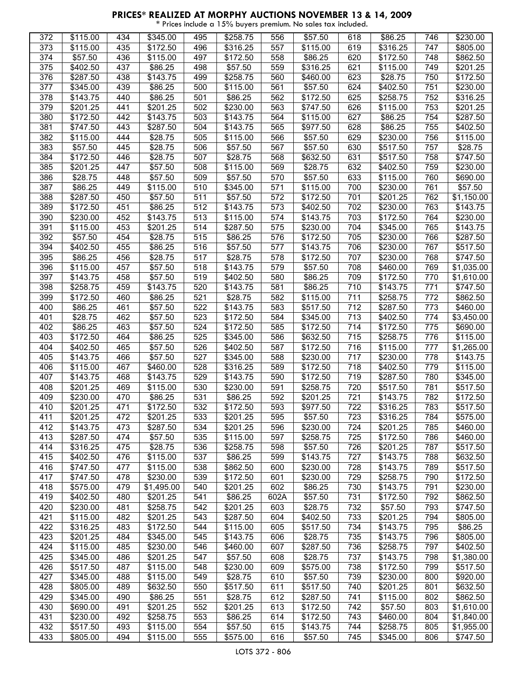| 372 | \$115.00             | 434              | $\overline{$}345.00$ | 495              | $\overline{$}258.75$ | 556  | \$57.50  | 618 | \$86.25          | 746 | \$230.00               |
|-----|----------------------|------------------|----------------------|------------------|----------------------|------|----------|-----|------------------|-----|------------------------|
| 373 | \$115.00             | 435              | \$172.50             | 496              | \$316.25             | 557  | \$115.00 | 619 | \$316.25         | 747 | \$805.00               |
| 374 | \$57.50              | 436              | \$115.00             | 497              | \$172.50             | 558  | \$86.25  | 620 | \$172.50         | 748 | \$862.50               |
| 375 | \$402.50             | 437              | \$86.25              | 498              | \$57.50              | 559  | \$316.25 | 621 | \$115.00         | 749 | \$201.25               |
| 376 | \$287.50             | 438              | \$143.75             | 499              | \$258.75             | 560  | \$460.00 | 623 | \$28.75          | 750 | \$172.50               |
| 377 | \$345.00             | 439              | \$86.25              | 500              | \$115.00             | 561  | \$57.50  | 624 | \$402.50         | 751 | \$230.00               |
| 378 | \$143.75             | 440              | \$86.25              | 501              | \$86.25              | 562  | \$172.50 | 625 | \$258.75         | 752 | \$316.25               |
| 379 | \$201.25             | 441              | \$201.25             | 502              | \$230.00             | 563  | \$747.50 | 626 | \$115.00         | 753 | \$201.25               |
| 380 | \$172.50             | 442              | \$143.75             | 503              | \$143.75             | 564  | \$115.00 | 627 | \$86.25          | 754 | \$287.50               |
| 381 | \$747.50             | 443              | \$287.50             | 504              | \$143.75             | 565  | \$977.50 | 628 | \$86.25          | 755 | \$402.50               |
| 382 | \$115.00             | 444              | \$28.75              | 505              | \$115.00             | 566  | \$57.50  | 629 | \$230.00         | 756 | \$115.00               |
| 383 | \$57.50              | 445              | \$28.75              | 506              | \$57.50              | 567  | \$57.50  | 630 | \$517.50         | 757 | \$28.75                |
| 384 |                      | 446              | \$28.75              | 507              | \$28.75              |      | \$632.50 | 631 | \$517.50         | 758 | \$747.50               |
|     | \$172.50             |                  |                      |                  |                      | 568  |          |     |                  |     |                        |
| 385 | \$201.25             | 447              | \$57.50              | 508              | \$115.00             | 569  | \$28.75  | 632 | \$402.50         | 759 | \$230.00               |
| 386 | \$28.75              | 448              | \$57.50              | 509              | \$57.50              | 570  | \$57.50  | 633 | \$115.00         | 760 | \$690.00               |
| 387 | \$86.25              | 449              | \$115.00             | 510              | \$345.00             | 571  | \$115.00 | 700 | \$230.00         | 761 | \$57.50                |
| 388 | $\overline{$}287.50$ | 450              | \$57.50              | 511              | \$57.50              | 572  | \$172.50 | 701 | \$201.25         | 762 | \$1,150.00             |
| 389 | \$172.50             | 451              | \$86.25              | 512              | \$143.75             | 573  | \$402.50 | 702 | \$230.00         | 763 | \$143.75               |
| 390 | \$230.00             | 452              | \$143.75             | 513              | \$115.00             | 574  | \$143.75 | 703 | \$172.50         | 764 | \$230.00               |
| 391 | \$115.00             | 453              | \$201.25             | $\overline{5}14$ | \$287.50             | 575  | \$230.00 | 704 | \$345.00         | 765 | \$143.75               |
| 392 | \$57.50              | 454              | \$28.75              | 515              | \$86.25              | 576  | \$172.50 | 705 | \$230.00         | 766 | \$287.50               |
| 394 | \$402.50             | 455              | \$86.25              | 516              | \$57.50              | 577  | \$143.75 | 706 | \$230.00         | 767 | \$517.50               |
| 395 | \$86.25              | 456              | \$28.75              | 517              | \$28.75              | 578  | \$172.50 | 707 | \$230.00         | 768 | \$747.50               |
| 396 | \$115.00             | 457              | \$57.50              | 518              | \$143.75             | 579  | \$57.50  | 708 | \$460.00         | 769 | \$1,035.00             |
| 397 | \$143.75             | 458              | \$57.50              | 519              | \$402.50             | 580  | \$86.25  | 709 | \$172.50         | 770 | \$1,610.00             |
| 398 | \$258.75             | 459              | \$143.75             | 520              | \$143.75             | 581  | \$86.25  | 710 | \$143.75         | 771 | \$747.50               |
| 399 | \$172.50             | 460              | \$86.25              | 521              | \$28.75              | 582  | \$115.00 | 711 | \$258.75         | 772 | \$862.50               |
| 400 | \$86.25              | 461              | \$57.50              | 522              | \$143.75             | 583  | \$517.50 | 712 | \$287.50         | 773 | \$460.00               |
| 401 | \$28.75              | 462              | \$57.50              | 523              | \$172.50             | 584  | \$345.00 | 713 | \$402.50         | 774 | \$3,450.00             |
| 402 | \$86.25              | 463              | \$57.50              | 524              | \$172.50             | 585  | \$172.50 | 714 | \$172.50         | 775 | \$690.00               |
| 403 | \$172.50             | 464              | \$86.25              | 525              | \$345.00             | 586  | \$632.50 | 715 | \$258.75         | 776 | \$115.00               |
| 404 | \$402.50             | 465              | \$57.50              | 526              | \$402.50             | 587  | \$172.50 | 716 | \$115.00         | 777 | \$1,265.00             |
| 405 | \$143.75             | 466              | \$57.50              | 527              | \$345.00             | 588  | \$230.00 | 717 | \$230.00         | 778 | \$143.75               |
| 406 | \$115.00             | 467              | \$460.00             | 528              | \$316.25             | 589  | \$172.50 | 718 | \$402.50         | 779 | \$115.00               |
| 407 | \$143.75             | 468              | \$143.75             | 529              | \$143.75             | 590  | \$172.50 | 719 | $\sqrt{$287.50}$ | 780 | \$345.00               |
| 408 | \$201.25             | 469              | \$115.00             | 530              | \$230.00             | 591  | \$258.75 | 720 | \$517.50         | 781 | \$517.50               |
|     |                      |                  |                      |                  |                      |      |          |     |                  |     |                        |
| 409 | \$230.00             | 470              | \$86.25              | 531              | \$86.25              | 592  | \$201.25 | 721 | \$143.75         | 782 | \$172.50               |
| 410 | \$201.25             | 471              | \$172.50             | 532              | \$172.50             | 593  | \$977.50 | 722 | \$316.25         | 783 | \$517.50               |
| 411 | \$201.25             | 472              | \$201.25             | 533              | \$201.25             | 595  | \$57.50  | 723 | \$316.25         | 784 | \$575.00               |
| 412 | \$143.75             | 473              | \$287.50             | 534              | \$201.25             | 596  | \$230.00 | 724 | \$201.25         | 785 | \$460.00               |
| 413 | \$287.50             | 474              | \$57.50              | 535              | \$115.00             | 597  | \$258.75 | 725 | \$172.50         | 786 | \$460.00               |
| 414 | \$316.25             | 475              | \$28.75              | 536              | \$258.75             | 598  | \$57.50  | 726 | \$201.25         | 787 | \$517.50               |
| 415 | \$402.50             | 476              | \$115.00             | 537              | \$86.25              | 599  | \$143.75 | 727 | \$143.75         | 788 | \$632.50               |
| 416 | \$747.50             | 477              | \$115.00             | 538              | \$862.50             | 600  | \$230.00 | 728 | \$143.75         | 789 | \$517.50               |
| 417 | \$747.50             | 478              | \$230.00             | 539              | \$172.50             | 601  | \$230.00 | 729 | \$258.75         | 790 | \$172.50               |
| 418 | \$575.00             | 479              | \$1,495.00           | 540              | \$201.25             | 602  | \$86.25  | 730 | \$143.75         | 791 | \$230.00               |
| 419 | \$402.50             | 480              | \$201.25             | 541              | \$86.25              | 602A | \$57.50  | 731 | \$172.50         | 792 | \$862.50               |
| 420 | \$230.00             | 481              | \$258.75             | 542              | \$201.25             | 603  | \$28.75  | 732 | \$57.50          | 793 | \$747.50               |
| 421 | \$115.00             | 482              | \$201.25             | 543              | \$287.50             | 604  | \$402.50 | 733 | \$201.25         | 794 | \$805.00               |
| 422 | \$316.25             | 483              | \$172.50             | 544              | \$115.00             | 605  | \$517.50 | 734 | \$143.75         | 795 | \$86.25                |
| 423 | \$201.25             | 484              | \$345.00             | 545              | \$143.75             | 606  | \$28.75  | 735 | \$143.75         | 796 | \$805.00               |
| 424 | \$115.00             | 485              | \$230.00             | 546              | \$460.00             | 607  | \$287.50 | 736 | \$258.75         | 797 | \$402.50               |
| 425 | \$345.00             | 486              | \$201.25             | 547              | \$57.50              | 608  | \$28.75  | 737 | \$143.75         | 798 | \$1,380.00             |
| 426 | \$517.50             | 487              | \$115.00             | 548              | \$230.00             | 609  | \$575.00 | 738 | \$172.50         | 799 | \$517.50               |
| 427 | \$345.00             | 488              | \$115.00             | 549              | \$28.75              | 610  | \$57.50  | 739 | \$230.00         | 800 | \$920.00               |
| 428 | \$805.00             | 489              | \$632.50             | 550              | \$517.50             | 611  | \$517.50 | 740 | \$201.25         | 801 | \$632.50               |
| 429 | \$345.00             | 490              | \$86.25              | 551              | \$28.75              | 612  | \$287.50 | 741 | \$115.00         | 802 | \$862.50               |
| 430 |                      | 491              | \$201.25             | 552              | \$201.25             | 613  |          | 742 | \$57.50          |     | $\overline{$}1,610.00$ |
|     | \$690.00             |                  |                      |                  |                      |      | \$172.50 |     |                  | 803 |                        |
| 431 | \$230.00             | 492              | \$258.75             | 553              | \$86.25              | 614  | \$172.50 | 743 | \$460.00         | 804 | \$1,840.00             |
| 432 | \$517.50             | 493              | \$115.00             | 554              | \$57.50              | 615  | \$143.75 | 744 | \$258.75         | 805 | \$1,955.00             |
| 433 | \$805.00             | $\overline{49}4$ | \$115.00             | 555              | \$575.00             | 616  | \$57.50  | 745 | \$345.00         | 806 | \$747.50               |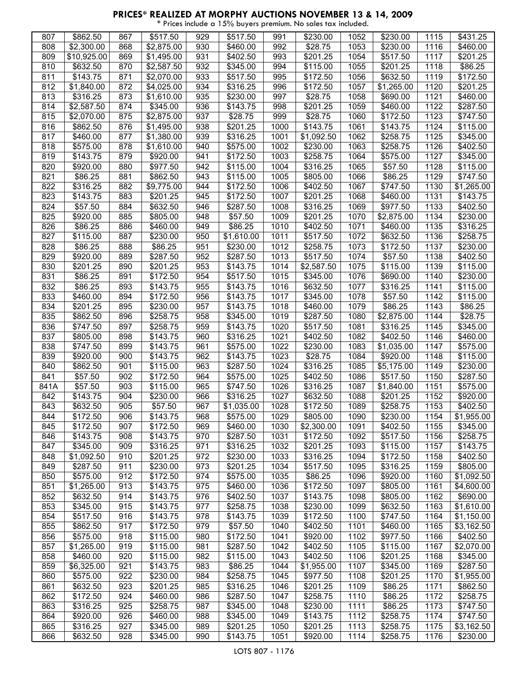| 807  | \$862.50             | 867 | \$517.50             | 929 | \$517.50   | 991  | \$230.00             | 1052 | \$230.00   | 1115 | \$431.25         |
|------|----------------------|-----|----------------------|-----|------------|------|----------------------|------|------------|------|------------------|
| 808  | \$2,300.00           | 868 | \$2,875.00           | 930 | \$460.00   | 992  | \$28.75              | 1053 | \$230.00   | 1116 | \$460.00         |
| 809  | \$10,925.00          | 869 | \$1,495.00           | 931 | \$402.50   | 993  | \$201.25             | 1054 | \$517.50   | 1117 | \$201.25         |
|      |                      |     |                      |     |            |      |                      |      |            |      |                  |
| 810  | \$632.50             | 870 | \$2,587.50           | 932 | \$345.00   | 994  | \$115.00             | 1055 | \$201.25   | 1118 | \$86.25          |
| 811  | \$143.75             | 871 | \$2,070.00           | 933 | \$517.50   | 995  | \$172.50             | 1056 | \$632.50   | 1119 | \$172.50         |
| 812  | \$1,840.00           | 872 | \$4,025.00           | 934 | \$316.25   | 996  | \$172.50             | 1057 | \$1,265.00 | 1120 | \$201.25         |
| 813  | \$316.25             | 873 | \$1,610.00           | 935 | \$230.00   | 997  | \$28.75              | 1058 | \$690.00   | 1121 | \$460.00         |
|      |                      |     |                      |     |            |      |                      |      |            |      |                  |
| 814  | \$2,587.50           | 874 | \$345.00             | 936 | \$143.75   | 998  | \$201.25             | 1059 | \$460.00   | 1122 | \$287.50         |
| 815  | \$2,070.00           | 875 | \$2,875.00           | 937 | \$28.75    | 999  | \$28.75              | 1060 | \$172.50   | 1123 | \$747.50         |
| 816  | \$862.50             | 876 | \$1,495.00           | 938 | \$201.25   | 1000 | \$143.75             | 1061 | \$143.75   | 1124 | \$115.00         |
| 817  | \$460.00             | 877 | \$1,380.00           | 939 | \$316.25   | 1001 | \$1,092.50           | 1062 | \$258.75   | 1125 | \$345.00         |
|      |                      |     |                      |     |            |      |                      |      |            |      |                  |
| 818  | \$575.00             | 878 | \$1,610.00           | 940 | \$575.00   | 1002 | \$230.00             | 1063 | \$258.75   | 1126 | \$402.50         |
| 819  | \$143.75             | 879 | \$920.00             | 941 | \$172.50   | 1003 | \$258.75             | 1064 | \$575.00   | 1127 | \$345.00         |
| 820  | \$920.00             | 880 | \$977.50             | 942 | \$115.00   | 1004 | \$316.25             | 1065 | \$57.50    | 1128 | \$115.00         |
| 821  | \$86.25              | 881 | \$862.50             | 943 | \$115.00   | 1005 | \$805.00             | 1066 | \$86.25    | 1129 | \$747.50         |
|      |                      |     |                      |     |            |      |                      |      |            |      |                  |
| 822  | \$316.25             | 882 | \$9,775.00           | 944 | \$172.50   | 1006 | \$402.50             | 1067 | \$747.50   | 1130 | \$1,265.00       |
| 823  | \$143.75             | 883 | \$201.25             | 945 | \$172.50   | 1007 | $\overline{$}201.25$ | 1068 | \$460.00   | 1131 | \$143.75         |
| 824  | \$57.50              | 884 | \$632.50             | 946 | \$287.50   | 1008 | \$316.25             | 1069 | \$977.50   | 1133 | \$402.50         |
| 825  | \$920.00             | 885 | \$805.00             | 948 | \$57.50    | 1009 | \$201.25             | 1070 | \$2,875.00 | 1134 | \$230.00         |
|      |                      |     | \$460.00             | 949 |            |      |                      | 1071 | \$460.00   |      |                  |
| 826  | \$86.25              | 886 |                      |     | \$86.25    | 1010 | \$402.50             |      |            | 1135 | \$316.25         |
| 827  | \$115.00             | 887 | \$230.00             | 950 | \$1,610.00 | 1011 | \$517.50             | 1072 | \$632.50   | 1136 | \$258.75         |
| 828  | \$86.25              | 888 | \$86.25              | 951 | \$230.00   | 1012 | \$258.75             | 1073 | \$172.50   | 1137 | \$230.00         |
| 829  | \$920.00             | 889 | \$287.50             | 952 | \$287.50   | 1013 | \$517.50             | 1074 | \$57.50    | 1138 | \$402.50         |
| 830  |                      | 890 |                      |     |            |      | \$2,587.50           |      |            | 1139 |                  |
|      | \$201.25             |     | \$201.25             | 953 | \$143.75   | 1014 |                      | 1075 | \$115.00   |      | \$115.00         |
| 831  | \$86.25              | 891 | \$172.50             | 954 | \$517.50   | 1015 | \$345.00             | 1076 | \$690.00   | 1140 | \$230.00         |
| 832  | \$86.25              | 893 | \$143.75             | 955 | \$143.75   | 1016 | \$632.50             | 1077 | \$316.25   | 1141 | \$115.00         |
| 833  | \$460.00             | 894 | \$172.50             | 956 | \$143.75   | 1017 | \$345.00             | 1078 | \$57.50    | 1142 | \$115.00         |
| 834  |                      | 895 |                      | 957 | \$143.75   | 1018 | \$460.00             | 1079 | \$86.25    | 1143 | \$86.25          |
|      | \$201.25             |     | \$230.00             |     |            |      |                      |      |            |      |                  |
| 835  | \$862.50             | 896 | \$258.75             | 958 | \$345.00   | 1019 | \$287.50             | 1080 | \$2,875.00 | 1144 | \$28.75          |
| 836  | \$747.50             | 897 | \$258.75             | 959 | \$143.75   | 1020 | \$517.50             | 1081 | \$316.25   | 1145 | \$345.00         |
| 837  | \$805.00             | 898 | \$143.75             | 960 | \$316.25   | 1021 | \$402.50             | 1082 | \$402.50   | 1146 | \$460.00         |
| 838  | \$747.50             | 899 | \$143.75             | 961 | \$575.00   | 1022 | \$230.00             | 1083 | \$1,035.00 | 1147 | \$575.00         |
|      |                      |     |                      |     |            |      |                      |      |            |      |                  |
| 839  | \$920.00             | 900 | \$143.75             | 962 | \$143.75   | 1023 | \$28.75              | 1084 | \$920.00   | 1148 | \$115.00         |
| 840  | \$862.50             | 901 | \$115.00             | 963 | \$287.50   | 1024 | \$316.25             | 1085 | \$5,175.00 | 1149 | \$230.00         |
| 841  | \$57.50              | 902 | \$172.50             | 964 | \$575.00   | 1025 | \$402.50             | 1086 | \$517.50   | 1150 | \$287.50         |
| 841A | \$57.50              | 903 | \$115.00             | 965 | \$747.50   | 1026 | \$316.25             | 1087 | \$1,840.00 | 1151 | \$575.00         |
|      |                      |     |                      |     |            |      |                      |      |            |      |                  |
| 842  | $\overline{$}143.75$ | 904 | \$230.00             | 966 | \$316.25   | 1027 | \$632.50             | 1088 | \$201.25   | 1152 | \$920.00         |
| 843  | \$632.50             | 905 | \$57.50              | 967 | \$1,035.00 | 1028 | \$172.50             | 1089 | \$258.75   | 1153 | \$402.50         |
| 844  | \$172.50             | 906 | \$143.75             | 968 | \$575.00   | 1029 | \$805.00             | 1090 | \$230.00   | 1154 | \$1,955.00       |
| 845  | \$172.50             | 907 | \$172.50             | 969 | \$460.00   | 1030 | \$2,300.00           | 1091 | \$402.50   | 1155 | \$345.00         |
|      |                      |     |                      |     |            |      |                      |      |            |      |                  |
| 846  | \$143.75             | 908 | \$143.75             | 970 | \$287.50   | 1031 | \$172.50             | 1092 | \$517.50   | 1156 | $\sqrt{$258.75}$ |
| 847  | \$345.00             | 909 | \$316.25             | 971 | \$316.25   | 1032 | \$201.25             | 1093 | \$115.00   | 1157 | \$143.75         |
| 848  | \$1,092.50           | 910 | \$201.25             | 972 | \$230.00   | 1033 | \$316.25             | 1094 | \$172.50   | 1158 | \$402.50         |
| 849  | \$287.50             | 911 | \$230.00             | 973 | \$201.25   | 1034 | \$517.50             | 1095 | \$316.25   | 1159 | \$805.00         |
|      |                      | 912 | \$172.50             | 974 | \$575.00   |      |                      |      |            |      |                  |
| 850  | \$575.00             |     |                      |     |            | 1035 | \$86.25              | 1096 | \$920.00   | 1160 | \$1,092.50       |
| 851  | \$1,265.00           | 913 | $\overline{$}143.75$ | 975 | \$460.00   | 1036 | \$172.50             | 1097 | \$805.00   | 1161 | \$4,600.00       |
| 852  | \$632.50             | 914 | \$143.75             | 976 | \$402.50   | 1037 | \$143.75             | 1098 | \$805.00   | 1162 | \$690.00         |
| 853  | \$345.00             | 915 | \$143.75             | 977 | \$258.75   | 1038 | \$230.00             | 1099 | \$632.50   | 1163 | \$1,610.00       |
| 854  | \$517.50             | 916 | \$143.75             | 978 | \$143.75   | 1039 | \$172.50             | 1100 | \$747.50   | 1164 | \$1,150.00       |
|      |                      |     |                      |     |            |      |                      |      |            |      |                  |
| 855  | \$862.50             | 917 | \$172.50             | 979 | \$57.50    | 1040 | \$402.50             | 1101 | \$460.00   | 1165 | \$3,162.50       |
| 856  | \$575.00             | 918 | \$115.00             | 980 | \$172.50   | 1041 | \$920.00             | 1102 | \$977.50   | 1166 | \$402.50         |
| 857  | \$1,265.00           | 919 | \$115.00             | 981 | \$287.50   | 1042 | \$402.50             | 1105 | \$115.00   | 1167 | \$2,070.00       |
| 858  | \$460.00             | 920 | \$115.00             | 982 | \$115.00   | 1043 | \$402.50             | 1106 | \$201.25   | 1168 | \$345.00         |
|      |                      |     |                      |     |            |      |                      |      |            |      |                  |
| 859  | \$6,325.00           | 921 | \$143.75             | 983 | \$86.25    | 1044 | \$1,955.00           | 1107 | \$345.00   | 1169 | \$287.50         |
| 860  | \$575.00             | 922 | \$230.00             | 984 | \$258.75   | 1045 | \$977.50             | 1108 | \$201.25   | 1170 | \$1,955.00       |
| 861  | \$632.50             | 923 | \$201.25             | 985 | \$316.25   | 1046 | \$201.25             | 1109 | \$86.25    | 1171 | \$862.50         |
| 862  | \$172.50             | 924 | \$460.00             | 986 | \$287.50   | 1047 | \$258.75             | 1110 | \$86.25    | 1172 | \$258.75         |
|      |                      |     |                      |     |            |      |                      |      |            |      |                  |
| 863  | \$316.25             | 925 | \$258.75             | 987 | \$345.00   | 1048 | \$230.00             | 1111 | \$86.25    | 1173 | \$747.50         |
| 864  | \$920.00             | 926 | \$460.00             | 988 | \$345.00   | 1049 | \$143.75             | 1112 | \$258.75   | 1174 | \$747.50         |
| 865  | \$316.25             | 927 | \$345.00             | 989 | \$201.25   | 1050 | \$201.25             | 1113 | \$258.75   | 1175 | \$3,162.50       |
| 866  | \$632.50             | 928 | \$345.00             | 990 | \$143.75   | 1051 | \$920.00             | 1114 | \$258.75   | 1176 | \$230.00         |
|      |                      |     |                      |     |            |      |                      |      |            |      |                  |